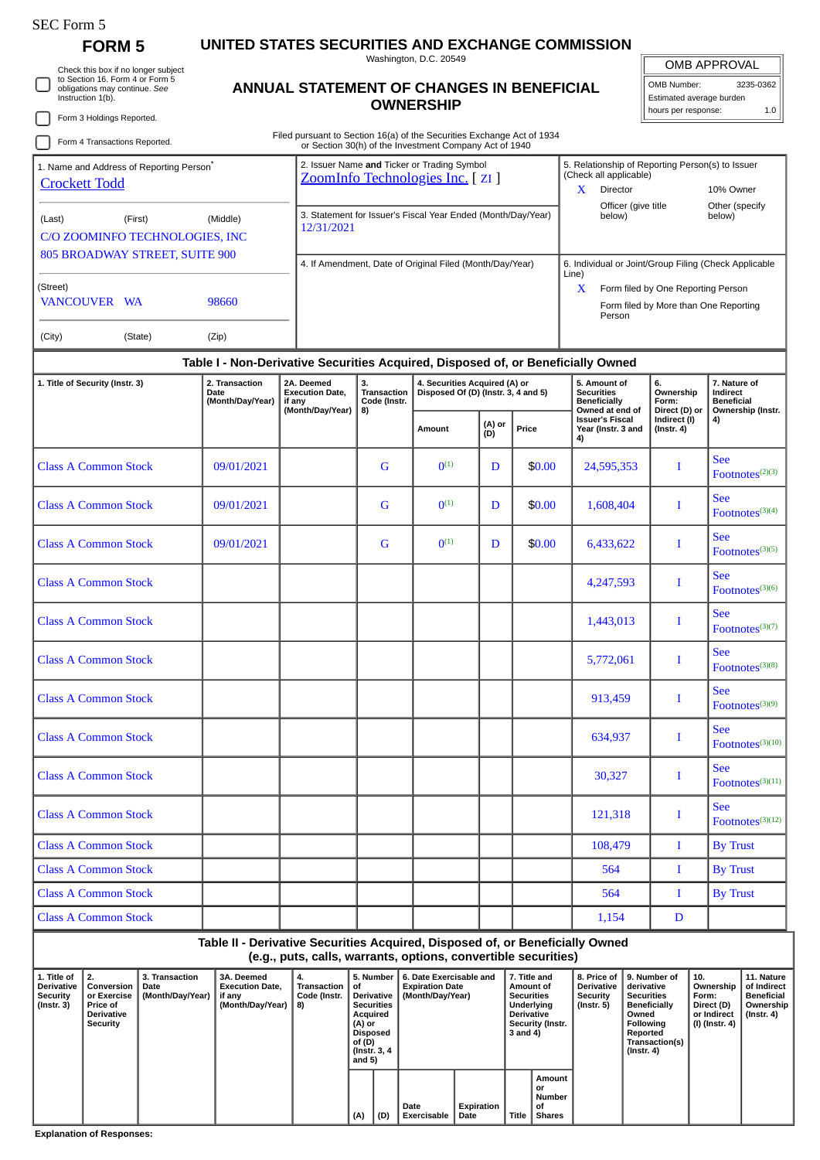| SEC Form 5 |  |
|------------|--|
|------------|--|

## **FORM 5 UNITED STATES SECURITIES AND EXCHANGE COMMISSION**

Washington, D.C. 20549

OMB APPROVAL

| OMB Number:              | 3235-0362 |
|--------------------------|-----------|
| Estimated average burden |           |
| hours ner response:      |           |

| Check this box if no longer subject                                                   |                                                                                  |                                                                        |                                         |                                                                                                                                            |                                                                                                     |        |                                                                       |                                                                               | שהעטורו וה שויוט                                                         |
|---------------------------------------------------------------------------------------|----------------------------------------------------------------------------------|------------------------------------------------------------------------|-----------------------------------------|--------------------------------------------------------------------------------------------------------------------------------------------|-----------------------------------------------------------------------------------------------------|--------|-----------------------------------------------------------------------|-------------------------------------------------------------------------------|--------------------------------------------------------------------------|
| to Section 16. Form 4 or Form 5<br>obligations may continue. See<br>Instruction 1(b). |                                                                                  | ANNUAL STATEMENT OF CHANGES IN BENEFICIAL                              | <b>OWNERSHIP</b>                        | OMB Number:<br>3235-0362<br>Estimated average burden<br>hours per response:<br>1.0                                                         |                                                                                                     |        |                                                                       |                                                                               |                                                                          |
| Form 3 Holdings Reported.<br>Form 4 Transactions Reported.                            |                                                                                  | Filed pursuant to Section 16(a) of the Securities Exchange Act of 1934 |                                         |                                                                                                                                            |                                                                                                     |        |                                                                       |                                                                               |                                                                          |
| 1. Name and Address of Reporting Person <sup>®</sup><br><b>Crockett Todd</b>          |                                                                                  |                                                                        |                                         | or Section 30(h) of the Investment Company Act of 1940<br>2. Issuer Name and Ticker or Trading Symbol<br>ZoomInfo Technologies Inc. [ ZI ] | 5. Relationship of Reporting Person(s) to Issuer<br>(Check all applicable)                          |        |                                                                       |                                                                               |                                                                          |
|                                                                                       |                                                                                  |                                                                        |                                         |                                                                                                                                            |                                                                                                     |        | $\mathbf{X}$<br>Director                                              |                                                                               | 10% Owner                                                                |
| (First)<br>(Last)<br>C/O ZOOMINFO TECHNOLOGIES, INC                                   | (Middle)                                                                         | 12/31/2021                                                             |                                         | 3. Statement for Issuer's Fiscal Year Ended (Month/Day/Year)                                                                               | Officer (give title<br>Other (specify<br>below)<br>below)                                           |        |                                                                       |                                                                               |                                                                          |
| 805 BROADWAY STREET, SUITE 900                                                        |                                                                                  |                                                                        |                                         | 4. If Amendment, Date of Original Filed (Month/Day/Year)                                                                                   | 6. Individual or Joint/Group Filing (Check Applicable                                               |        |                                                                       |                                                                               |                                                                          |
| (Street)<br><b>VANCOUVER WA</b>                                                       | 98660                                                                            |                                                                        |                                         |                                                                                                                                            | Line)<br>X<br>Form filed by One Reporting Person<br>Form filed by More than One Reporting<br>Person |        |                                                                       |                                                                               |                                                                          |
| (City)<br>(State)                                                                     | (Zip)                                                                            |                                                                        |                                         |                                                                                                                                            |                                                                                                     |        |                                                                       |                                                                               |                                                                          |
|                                                                                       | Table I - Non-Derivative Securities Acquired, Disposed of, or Beneficially Owned |                                                                        |                                         |                                                                                                                                            |                                                                                                     |        |                                                                       |                                                                               |                                                                          |
| 1. Title of Security (Instr. 3)                                                       | 2. Transaction<br>Date<br>(Month/Day/Year)                                       | 2A. Deemed<br><b>Execution Date,</b><br>if any                         | 3.<br>Transaction<br>Code (Instr.<br>8) | 4. Securities Acquired (A) or<br>Disposed Of (D) (Instr. 3, 4 and 5)                                                                       |                                                                                                     |        | 5. Amount of<br><b>Securities</b><br><b>Beneficially</b>              | 6.<br>Ownership<br>Form:<br>Direct (D) or<br>Indirect (I)<br>$($ Instr. 4 $)$ | 7. Nature of<br>Indirect<br><b>Beneficial</b><br>Ownership (Instr.<br>4) |
|                                                                                       |                                                                                  | (Month/Day/Year)                                                       |                                         | Amount                                                                                                                                     | (A) or<br>(D)                                                                                       | Price  | Owned at end of<br><b>Issuer's Fiscal</b><br>Year (Instr. 3 and<br>4) |                                                                               |                                                                          |
| <b>Class A Common Stock</b>                                                           | 09/01/2021                                                                       |                                                                        | G                                       | $0^{(1)}$                                                                                                                                  | D                                                                                                   | \$0.00 | 24,595,353                                                            | I                                                                             | <b>See</b><br>Footnotes $(2)(3)$                                         |
| <b>Class A Common Stock</b>                                                           | 09/01/2021                                                                       |                                                                        | G                                       | $0^{(1)}$                                                                                                                                  | D                                                                                                   | \$0.00 | 1,608,404                                                             | 1                                                                             | <b>See</b><br>Footnotes $(3)(4)$                                         |
| <b>Class A Common Stock</b>                                                           | 09/01/2021                                                                       |                                                                        | G                                       | $0^{(1)}$                                                                                                                                  | D                                                                                                   | \$0.00 | 6,433,622                                                             | Ι                                                                             | <b>See</b><br>Footnotes <sup>(3)(5)</sup>                                |
| <b>Class A Common Stock</b>                                                           |                                                                                  |                                                                        |                                         |                                                                                                                                            |                                                                                                     |        | 4,247,593                                                             | I                                                                             | <b>See</b><br>Footnotes $(3)(6)$                                         |
| <b>Class A Common Stock</b>                                                           |                                                                                  |                                                                        |                                         |                                                                                                                                            |                                                                                                     |        | 1,443,013                                                             | 1                                                                             | <b>See</b><br>Footnotes $(3)(7)$                                         |
| <b>Class A Common Stock</b>                                                           |                                                                                  |                                                                        |                                         |                                                                                                                                            |                                                                                                     |        | 5,772,061                                                             | I                                                                             | <b>See</b><br>Footnotes <sup>(3)(8)</sup>                                |
| <b>Class A Common Stock</b>                                                           |                                                                                  |                                                                        |                                         |                                                                                                                                            |                                                                                                     |        | 913,459                                                               | $\bf{I}$                                                                      | <b>See</b><br>$\text{Footnotes}^{(3)(9)}$                                |
| <b>Class A Common Stock</b>                                                           |                                                                                  |                                                                        |                                         |                                                                                                                                            |                                                                                                     |        | 634,937                                                               | Ι.                                                                            | <b>See</b><br>$\text{Footnotes}^{(3)(10)}$                               |
| <b>Class A Common Stock</b>                                                           |                                                                                  |                                                                        |                                         |                                                                                                                                            |                                                                                                     |        | 30,327                                                                | Ι.                                                                            | <b>See</b><br>$\text{Footnotes}^{(3)(11)}$                               |
| <b>Class A Common Stock</b>                                                           |                                                                                  |                                                                        |                                         |                                                                                                                                            |                                                                                                     |        | 121,318                                                               | $\bf{I}$                                                                      | <b>See</b><br>Footnotes <sup>(3)(12)</sup>                               |
| <b>Class A Common Stock</b>                                                           |                                                                                  |                                                                        |                                         |                                                                                                                                            |                                                                                                     |        | 108,479                                                               | $\bf{I}$                                                                      | <b>By Trust</b>                                                          |
| <b>Class A Common Stock</b>                                                           |                                                                                  |                                                                        |                                         |                                                                                                                                            |                                                                                                     |        | 564                                                                   | I                                                                             | <b>By Trust</b>                                                          |
|                                                                                       |                                                                                  |                                                                        |                                         |                                                                                                                                            |                                                                                                     |        |                                                                       |                                                                               |                                                                          |

## **Table II - Derivative Securities Acquired, Disposed of, or Beneficially Owned (e.g., puts, calls, warrants, options, convertible securities)**

Class A Common Stock 564 I By Trust

Class A Common Stock (and Common Stock and Text 2014) and 1,154 D

| 1. Title of<br><b>Derivative</b><br>Security<br>$($ Instr. 3 $)$ | $^{\circ}$ 2.<br>Conversion<br>or Exercise<br>, Price of<br><b>Derivative</b><br>Security | <b>3. Transaction</b><br>Date<br>(Month/Day/Year) | 3A. Deemed<br><b>Execution Date.</b><br>if any<br>(Month/Day/Year) | 4.<br>Transaction<br>Code (Instr.<br>8) | 5. Number<br>ot<br>Derivative<br><b>Securities</b><br>Acquired<br>(A) or<br>Disposed<br>of (D)<br>(Instr. 3, 4)<br>and 5) |     | 6. Date Exercisable and<br><b>Expiration Date</b><br>(Month/Day/Year) |                           | 7. Title and<br>Amount of<br><b>Securities</b><br>Underlying<br><b>Derivative</b><br>Security (Instr.<br>3 and 4) |                                                      | <b>Derivative</b><br>Security<br>(Instr. 5) | 8. Price of 19. Number of<br>derivative<br><b>Securities</b><br><b>Beneficially</b><br>Owned<br><b>Following</b><br>Reported<br>Transaction(s)<br>(Instr. 4) | 10.<br>Ownership<br>Form:<br>Direct (D)<br>or Indirect<br>(I) (Instr. 4) | 11. Nature<br>of Indirect<br><b>Beneficial</b><br>Ownership<br>(Instr. 4) |
|------------------------------------------------------------------|-------------------------------------------------------------------------------------------|---------------------------------------------------|--------------------------------------------------------------------|-----------------------------------------|---------------------------------------------------------------------------------------------------------------------------|-----|-----------------------------------------------------------------------|---------------------------|-------------------------------------------------------------------------------------------------------------------|------------------------------------------------------|---------------------------------------------|--------------------------------------------------------------------------------------------------------------------------------------------------------------|--------------------------------------------------------------------------|---------------------------------------------------------------------------|
|                                                                  |                                                                                           |                                                   |                                                                    |                                         | (A)                                                                                                                       | (D) | Date<br>Exercisable                                                   | <b>Expiration</b><br>Date | <b>Title</b>                                                                                                      | Amount<br>or<br><b>Number</b><br>οf<br><b>Shares</b> |                                             |                                                                                                                                                              |                                                                          |                                                                           |